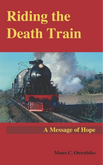# **Riding the Death Train**



# **A Message of Hope**

**Moses C. Onwubiko**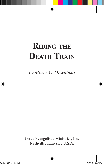# **Riding the Death Train**

*by Moses C. Onwubiko*

Grace Evangelistic Ministries, Inc. Nashville, Tennessee U.S.A.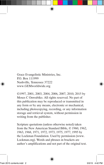Grace Evangelistic Ministries, Inc. P.O. Box 111999 Nashville, Tennessee 37222 www.GEMworldwide.org

©1997, 2001, 2003, 2004, 2006, 2007, 2010, 2015 by Moses C Onwubiko. All rights reserved. No part of this publication may be reproduced or transmitted in any form or by any means, electronic or mechanical, including photocopying, recording, or any information storage and retrieval system, without permission in writing from the publisher.

Scripture quotations (unless otherwise noted) taken from the New American Standard Bible, © 1960, 1962, 1963, 1968, 1971, 1972, 1973, 1975, 1977, 1995 by the Lockman Foundation. Used by permission (www. Lockman.org). Words and phrases in brackets are author's amplifications and not part of the original text.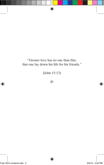#### "Greater love has no one than this, that one lay down his life for his friends."

(John 15:13)

 $\approx$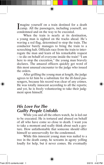Imagine yourself on a train destined for a death<br>Icanp. All the passengers, including yourself, are **L**camp. All the passengers, including yourself, are condemned and on the way to be executed.

When the train is nearly at its destination, a young man is sighted on the tracks ahead. He's waving a red flag, determined to stop the train. The conductor barely manages to bring the train to a screeching halt. Officials race from the train to interrogate the man and learn of his remarkable request – to die on behalf of everyone inside the train! "I am here to stop the execution," the young man bravely declares. The amazed officers quickly get word of this most unusual encounter to the judge who issued the orders.

After grilling the young man at length, the judge agrees to let him be a substitute for the ill-fated passengers, because his record was clear of any crimes. He was totally innocent according to all the reports; and yet, he is freely volunteering to take their judgment upon himself.

#### *His Love For The Guilty People Unfolds*

While you and all the others watch, he is led out to be executed. He is tortured and abused on behalf of all who have come so close to death. I want you to take a moment and really think about such a gesture. How unfathomable that someone should offer himself so unreservedly for the condemned.

While this innocent young man was nailed to a tree in the death camp, he screams in agony yelling loudly for help, but it never comes. He eventually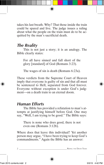takes his last breath. Why? That those inside the train could be spared and live. The judge issues a ruling about what the people on the train must do to be acquitted by the man's sacrificial death.

# *The Reality*

This is not just a story; it is an analogy. The Bible clearly states:

For all have sinned and fall short of the glory [standard] of God (Romans 3:23).

The wages of sin is death (Romans 6:23a).

These verdicts from the Supreme Court of Heaven imply that everyone is guilty of sin and that all must be sentenced to Hell, separated from God forever. Everyone without exception is under God's judgment—on a death train to an eternal doom.

# *Human Efforts*

The Bible has provided a refutation to man's attempts at justifying himself before God. One may say, "Well, I am trying to be good." The Bible says:

There is none who does good, there is not even one (Romans 3:12b).

Where does that leave this individual? Yet another person may argue, "I have been trying to keep God's commandments." Again the Bible has an answer: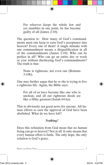For whoever keeps the whole law and yet stumbles in one point, he has become guilty of all (James 2:10).

The question is: How many of God's commandments must one keep to earn God's acceptance into heaven? Every one of them! A single mistake with one commandment means a disqualification in all of the commandments (James 2:10). Who can be perfect in all? Who can go an entire day or week or year without disobeying God's commandments? The truth is that:

None is righteous, not even one (Romans 3:10b).

One may further argue that he or she is trying to live a righteous life. Again, the Bible says:

For all of us have become like one who is unclean, and all our righteous deeds are like a filthy garment (Isaiah 64:6a).

This is obviously not good news for anyone. All human efforts to earn the approval of God have been abolished. What do we have left?

#### *Nothing!*

Does this refutation from God mean that no human being can go to heaven? Not at all. It only means that every human effort is futile. The only hope, the only solution is God's grace.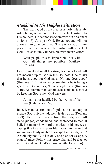# *Mankind In His Helpless Situation*

The Lord God as the creator is holy. He is absolutely righteous and a God of perfect justice. In His holiness, He cannot associate with sin or sinners (1 John 1:5). As a just God, He cannot and will not allow sin to go unpunished. There is no way an imperfect man can have a relationship with a perfect God. It is absolutely impossible with man's effort.

With people this is impossible, but with God all things are possible (Matthew 19:26b).

Hence, mankind in all his struggles cannot and will not measure up to God in His Holiness. One thinks that he is good but God says, "No one does good" (Romans 3:12b). Another person thinks he is living a good life. God replies, "None is righteous" (Romans 3:10). Another individual thinks he could be justified by keeping God's law. God answers:

A man is not justified by the works of the law (Galatians 2:16a).

Indeed, man has run out of options in an attempt to escape God's divine judgment levied on all (Romans 3:23). There is no escape from His judgment. All stand judged, condemned, and sentenced to eternal hell. No matter how hard one tries on his own, escaping this fate is impossible. Does this mean that we are hopelessly unable to escape God's judgment? Absolutely not. God has only one plan for escape. A plan of grace. Follow this grace plan and be free, or reject it and face God's eternal wrath (John 3:36).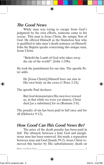# *The Good News*

While man was trying to escape from God's judgment by his own efforts, someone came to his rescue. This man is Jesus Christ, the unique Son of God. He offered Himself as the blameless Son who is qualified to take man's death sentence on Himself. John the Baptist speaks concerning this unique man, Jesus Christ.

"Behold the Lamb of God who takes away the sin of the world!" (John 1:29b).

He took the punishment for our sins. The apostle Peter adds:

He [Jesus Christ)] Himself bore our sins in His own body on the cross (1 Peter 2:24).

The apostle Paul declares:

But God demonstrates His own love toward us, in that while we were yet sinners, Christ died [as a substitute] for us (Romans 5:8).

The penalty of sin has been paid in full once and for all (Hebrews 9:12).

#### *How Good Can This Good News Be?*

The price of the death penalty has been paid in full. The obstacle between a holy God and unrighteous man has been removed. Sin made a separation between man and God (Isaiah 59:2). Jesus Christ removed this barrier by His substitutionary death on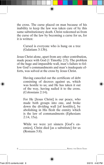the cross. The curse placed on man because of his inability to keep the law was taken care of by this same substitutionary death. Christ redeemed us from the curse of the law by becoming a curse for us, for it is written:

Cursed is everyone who is hung on a tree (Galatians 3:13b).

Jesus Christ alone, apart from any other contribution, made peace with God (1 Timothy 2:5). The problem of the huge and impassible wall, man's failure to follow God's commandments and man's inadequate efforts, was solved at the cross by Jesus Christ.

Having canceled out the certificate of debt consisting of decrees against us, which was hostile to us; and He has taken it out of the way, having nailed it to the cross. (Colossians 2:14).

For He [Jesus Christ] is our peace, who made both groups into one, and broke down the dividing wall [of hostility], by abolishing in His flesh the enmity which is the law of commandments (Ephesians 2:14, 15a).

While we were yet sinners [God's enemies], Christ died [as a substitute] for us (Romans 5:8).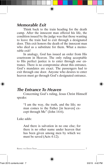# *Memorable Exit*

Think back to the train heading for the death camp. After the innocent man offered his life, the condition issued by the judge was that those wanting to leave the train had to exit through a designated door. This exit honors the death of the innocent man who died as a substitute for them. What a memorable exit!

In analogy, God has issued an order from His courtroom in Heaven. The only ruling acceptable to His perfect justice is to enter through *one* entrance. There is no compromise about this entrance. God's mandates are exact. The passengers had to exit through one door. Anyone who desires to enter heaven must go through God's designated entrance.

#### *The Entrance To Heaven*

Concerning God's ruling, Jesus Christ Himself speaks:

"I am the way, the truth, and the life; no man comes to the Father [in heaven] except through Me" (John 14:6).

Luke adds:

And there is salvation in no one else; for there is no other name under heaven that has been given among men by which we must be saved (Acts 4:12).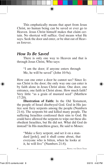This emphatically means that apart from Jesus Christ, no human being can be saved or ever go to Heaven. Jesus Christ himself makes that claim certain. No shortcut will suffice. God means what He says. Seek the door and enter, or be shut out of Heaven forever.

#### *How To Be Saved*

There is only one way to Heaven and that is through Jesus Christ, Who says:

"I am the door; if anyone enters through Me, he will be saved" (John 10:9a).

How can one enter a door he cannot see? Since Jesus Christ is the door; the only way one can enter is by faith alone in Jesus Christ alone. One door, one entrance, one faith in Christ alone. How much faith? Very little "as a grain of mustard seed" (Matthew 17:20).

**Illustration of Faith:** In the Old Testament, the people of Israel disobeyed God. God in His justice sent fiery serpents among the people (Numbers 21:6). The serpents bit and killed many people. The suffering Israelites confessed their sins to God. He could have allowed the serpents to wipe out these disobedient Israelites, but He did not. What did God do instead? In His matchless grace, He said to Moses:

"Make a fiery serpent, and set it on a standard [pole]; and it shall come about, that everyone who is bitten, when he looks at it, he will live" (Numbers 21:8).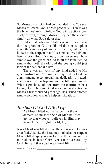So Moses did as God had commanded him. You see, Moses followed God's order precisely. Then it was the Israelites' turn to follow God's instructions precisely as well, through Moses. They had the choice: simply do what God said or die.

Indeed, all who were bitten who did not question the grace of God or His wisdom or complain about the simplicity of God's instruction, but merely looked at the serpent that Moses made, lived (Numbers 21:9). How fabulous, how awesome, how simple was the grace of God to all the Israelites, so simple that both the old and the young could just look at the serpent and live.

There was no work of any kind added to His grace instruction. No promises required by God, no commitment, no congregational dedication or rededication needed, no baptism and no tithing required. What a gracious solution from the courtroom of a loving God. The same God who gave instruction to Moses a few thousand years ago, has issued another simple solution to man's helpless situation.

# *The Son Of God Lifted Up*

As Moses lifted up the serpent in the wilderness, so must the Son of Man be lifted up; so that whoever believes in Him may have eternal life (John 3:14, 15).

Jesus Christ was lifted up on the cross when He was crucified. Just like the Israelites looked at the serpent Moses lifted up, you can look at the cross and by faith alone in Jesus Christ you can be assured, by God Himself, that you have eternal life.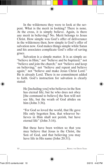In the wilderness they were to look at the serpent. What is the merit in looking? There is none. At the cross, it is simply believe. Again, is there any merit in believing? No. Merit belongs to Jesus Christ. How simple was God's offer of deliverance in the wilderness then; how simple is God's offer of salvation now. God makes things simple while Satan and his associates complicate God's offer of saving grace.

Salvation is a simple matter. It is as simple as: "believe in Him;" not "believe and be baptized;" not "believe and join the church;" not "believe and keep on believing;" not "believe and repent and believe again;" not "believe and make Jesus Christ Lord." He is already Lord. There is no commitment added to faith. God's instruction for salvation is clearly stated:

He [including you] who believes in the Son has eternal life; but he who does not obey [the command to believe] the Son will not see life, but the wrath of God abides on him (John 3:36).

"For God so loved the world, that He gave His only begotten Son, that whoever believes in Him shall not perish, but have eternal life" (John 3:16).

But these have been written so that you may believe that Jesus is the Christ, the Son of God, and that believing you may have life in His name (John 20:31).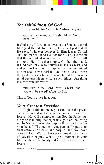# *The Faithfulness Of God*

Is it possible for God to lie? Absolutely not.

God is not a man, that He should lie (Numbers 23:19).

If God says, "He who believes in the Son has eternal life" (and He did: John 3:36), He meant just that. If He says, "whoever believes in Him [Jesus Christ] shall not perish" (and He did: John 3:16), He meant that the individual who puts his trust in Christ will not go to Hell. It's that simple. On the other hand, if God said, "He who believes in Jesus Christ, and makes him Lord, and is baptized and is committed to him shall never perish," you better do all those things if you ever hope to have eternal life. What a relief because He never says such things! One thing is clear from His word:

"Believe in the Lord Jesus, [Christ] and you will be saved" (Acts 16:31).

This is God's grace in action.

#### *Your Greatest Decision*

Right at this moment, you can make the greatest decision that will change the course of your life forever. How? By simply telling God the Father audibly or inaudibly that right now you are believing in His Son who was lifted up on the cross to die on your behalf. The moment you personally put your trust entirely in Christ, and only in Him, you have obeyed God's Word. That very moment the miracle of salvation begins. What a great moment in your life! A life miraculously redeemed by God's grace forever.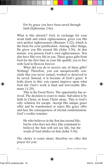For by grace you have been saved through faith (Ephesians 2:8a).

What is this miracle? God, in exchange for your weak faith and rotten righteousness, gives you His own perfect righteousness (Romans 3:22), which is the basis for your justification. Among other things, He gives you His eternal life (John 3:36). At that instant, you possess God's own righteousness. You also have His very life in you. These grace gifts from God for the first time in your life qualify you to live with God in Heaven forever.

What did you do to receive any of these gifts? Nothing! Therefore, you can unequivocally conclude that you never earned, worked or deserved to be saved. Instead, it is because of God's grace. It boils down to this: you cannot improve upon what God did. God's work is final and irrevocable (Romans 11:29).

This is the Good News. The opportunity has arrived. The decision is yours to make. Salvation is by faith in Christ, in Jesus Christ alone. This is God's only solution for escape. Accept His unique grace offer and be transformed or reject His grace offer and face the consequences of eternal condemnation. God's verdict remains:

He who believes in the Son has eternal life; but he who does not obey [the command to believe] the Son will not see life, but the wrath of God abides on him (John 3:36).

The choice is yours alone; therefore we offer this prayer for you: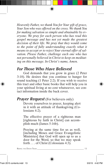*Heavenly Father, we thank You for Your gift of grace, Your Son who was offered on the cross. We thank You for making salvation so simple and obtainable by everyone. We pray for each person who has read this gospel message and has not yet made the greatest decision of their life. We pray that they would come to the point of fully understanding exactly what it means to accept or to reject Your eternal offer of salvation. Please Father, challenge each one who has not personally believed in Christ to keep on meditating on this message. In Christ's name, Amen.*

# *For Those Who Have Believed*

God demands that you grow in grace (2 Peter 3:18). He desires that you continue to hunger for sound teaching (1 Peter 2:2). If you wish to receive this tract and other basic books that will help you in your spiritual living at no cost whatsoever, see contact information inside the back cover.

# *Prayer Request* (For believers only)

Devote yourselves to prayer, keeping alert in it with an attitude of thanksgiving (Colossians 4:2).

The effective prayer of a righteous man [righteous by faith in Christ] can accomplish much (James 5:16b).

Praying at the same time for us as well, [including Moses and Grace Evangelistic Ministries] that God will open up to us a door for the Word, so that we may speak forth . . . of Christ (Colossians 4:3).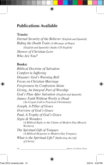# **Publications Available**

#### **Tracts:**

*Eternal Security of the Believer (English and Spanish) Riding the Death Train (A Message of Hope) (English and Spanish) (Audio CD English) Shower of Christian Love Who Are You?*

#### **Books:**

*Biblical Doctrine of Salvation Comfort in Suffering Disaster: God's Warning Bell Focus on Christian Marriage Forgiveness by Confession Alone Giving, An Integral Part of Worship God's Plan After Salvation (English and Spanish) James: Faith Without Works is Dead (An Urgent Call to Practical Christianity) Joseph, A Pillar of Grace Overview of God's Grace Paul, A Trophy of God's Grace Signs & Wonders (A Biblical Reply to the Claims of Modern Day Miracle Workers) The Spiritual Gift of Tongues (A Biblical Response to Modern Day Tongues) What is the Spiritual Life? (Reflecting the Life of Christ)*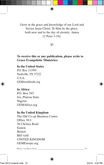Grow in the grace and knowledge of our Lord and Savior Jesus Christ. To Him be the glory, both now and to the day of eternity. Amen (2 Peter 3:18).



#### **To receive this or any publication, please write to Grace Evangelistic Ministries:**

#### **In the United States**

P.O. Box 111999 Nashville, TN 37222 U.S.A. GEMworldwide.org

#### **In Africa**

P.O. Box 583 Jos, Plateau State Nigeria GEMAfrica.org

#### **In the United Kingdom**

The Old Co-op Business Centre Office 38/1 38 Chelsea Road Easton Bristol BS5 6AF UNITED KINGDOM GEMEurope.org